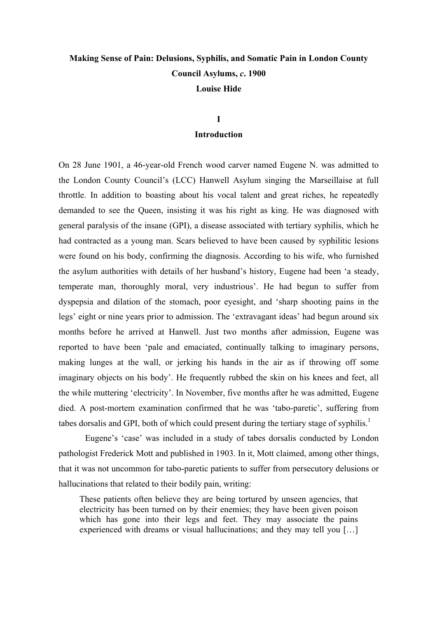# **Making Sense of Pain: Delusions, Syphilis, and Somatic Pain in London County Council Asylums,** *c***. 1900 Louise Hide**

## **I Introduction**

On 28 June 1901, a 46-year-old French wood carver named Eugene N. was admitted to the London County Council's (LCC) Hanwell Asylum singing the Marseillaise at full throttle. In addition to boasting about his vocal talent and great riches, he repeatedly demanded to see the Queen, insisting it was his right as king. He was diagnosed with general paralysis of the insane (GPI), a disease associated with tertiary syphilis, which he had contracted as a young man. Scars believed to have been caused by syphilitic lesions were found on his body, confirming the diagnosis. According to his wife, who furnished the asylum authorities with details of her husband's history, Eugene had been 'a steady, temperate man, thoroughly moral, very industrious'. He had begun to suffer from dyspepsia and dilation of the stomach, poor eyesight, and 'sharp shooting pains in the legs' eight or nine years prior to admission. The 'extravagant ideas' had begun around six months before he arrived at Hanwell. Just two months after admission, Eugene was reported to have been 'pale and emaciated, continually talking to imaginary persons, making lunges at the wall, or jerking his hands in the air as if throwing off some imaginary objects on his body'. He frequently rubbed the skin on his knees and feet, all the while muttering 'electricity'. In November, five months after he was admitted, Eugene died. A post-mortem examination confirmed that he was 'tabo-paretic', suffering from tabes dorsalis and GPI, both of which could present during the tertiary stage of syphilis.<sup>1</sup>

Eugene's 'case' was included in a study of tabes dorsalis conducted by London pathologist Frederick Mott and published in 1903. In it, Mott claimed, among other things, that it was not uncommon for tabo-paretic patients to suffer from persecutory delusions or hallucinations that related to their bodily pain, writing:

These patients often believe they are being tortured by unseen agencies, that electricity has been turned on by their enemies; they have been given poison which has gone into their legs and feet. They may associate the pains experienced with dreams or visual hallucinations; and they may tell you […]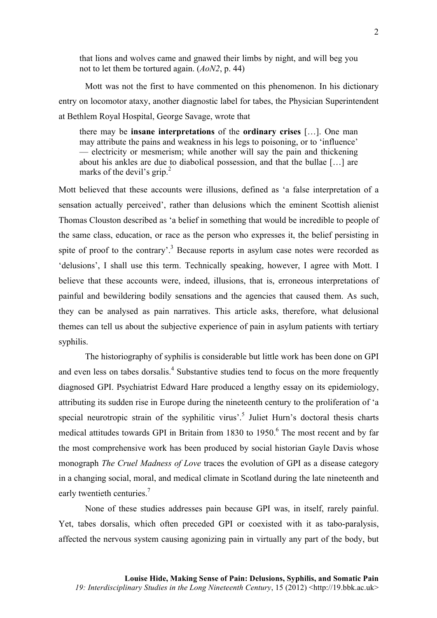that lions and wolves came and gnawed their limbs by night, and will beg you not to let them be tortured again. (*AoN2*, p. 44)

Mott was not the first to have commented on this phenomenon. In his dictionary entry on locomotor ataxy, another diagnostic label for tabes, the Physician Superintendent at Bethlem Royal Hospital, George Savage, wrote that

there may be **insane interpretations** of the **ordinary crises** […]. One man may attribute the pains and weakness in his legs to poisoning, or to 'influence' — electricity or mesmerism; while another will say the pain and thickening about his ankles are due to diabolical possession, and that the bullae […] are marks of the devil's grip.<sup>2</sup>

Mott believed that these accounts were illusions, defined as 'a false interpretation of a sensation actually perceived', rather than delusions which the eminent Scottish alienist Thomas Clouston described as 'a belief in something that would be incredible to people of the same class, education, or race as the person who expresses it, the belief persisting in spite of proof to the contrary'.<sup>3</sup> Because reports in asylum case notes were recorded as 'delusions', I shall use this term. Technically speaking, however, I agree with Mott. I believe that these accounts were, indeed, illusions, that is, erroneous interpretations of painful and bewildering bodily sensations and the agencies that caused them. As such, they can be analysed as pain narratives. This article asks, therefore, what delusional themes can tell us about the subjective experience of pain in asylum patients with tertiary syphilis.

The historiography of syphilis is considerable but little work has been done on GPI and even less on tabes dorsalis.<sup>4</sup> Substantive studies tend to focus on the more frequently diagnosed GPI. Psychiatrist Edward Hare produced a lengthy essay on its epidemiology, attributing its sudden rise in Europe during the nineteenth century to the proliferation of 'a special neurotropic strain of the syphilitic virus'.<sup>5</sup> Juliet Hurn's doctoral thesis charts medical attitudes towards GPI in Britain from 1830 to  $1950<sup>6</sup>$  The most recent and by far the most comprehensive work has been produced by social historian Gayle Davis whose monograph *The Cruel Madness of Love* traces the evolution of GPI as a disease category in a changing social, moral, and medical climate in Scotland during the late nineteenth and early twentieth centuries.<sup>7</sup>

None of these studies addresses pain because GPI was, in itself, rarely painful. Yet, tabes dorsalis, which often preceded GPI or coexisted with it as tabo-paralysis, affected the nervous system causing agonizing pain in virtually any part of the body, but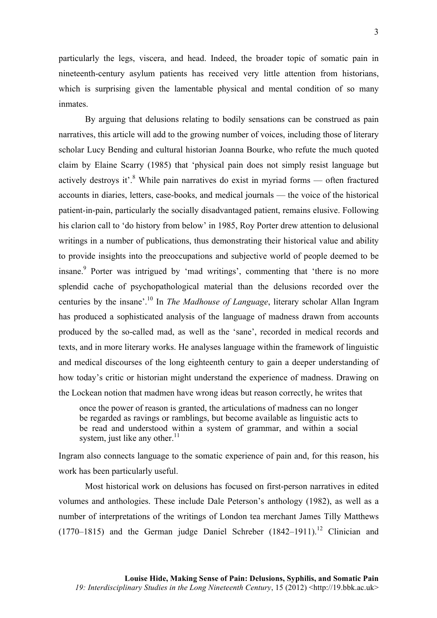particularly the legs, viscera, and head. Indeed, the broader topic of somatic pain in nineteenth-century asylum patients has received very little attention from historians, which is surprising given the lamentable physical and mental condition of so many inmates.

By arguing that delusions relating to bodily sensations can be construed as pain narratives, this article will add to the growing number of voices, including those of literary scholar Lucy Bending and cultural historian Joanna Bourke, who refute the much quoted claim by Elaine Scarry (1985) that 'physical pain does not simply resist language but actively destroys it'. $8$  While pain narratives do exist in myriad forms — often fractured accounts in diaries, letters, case-books, and medical journals — the voice of the historical patient-in-pain, particularly the socially disadvantaged patient, remains elusive. Following his clarion call to 'do history from below' in 1985, Roy Porter drew attention to delusional writings in a number of publications, thus demonstrating their historical value and ability to provide insights into the preoccupations and subjective world of people deemed to be insane.<sup>9</sup> Porter was intrigued by 'mad writings', commenting that 'there is no more splendid cache of psychopathological material than the delusions recorded over the centuries by the insane'.10 In *The Madhouse of Language*, literary scholar Allan Ingram has produced a sophisticated analysis of the language of madness drawn from accounts produced by the so-called mad, as well as the 'sane', recorded in medical records and texts, and in more literary works. He analyses language within the framework of linguistic and medical discourses of the long eighteenth century to gain a deeper understanding of how today's critic or historian might understand the experience of madness. Drawing on the Lockean notion that madmen have wrong ideas but reason correctly, he writes that

once the power of reason is granted, the articulations of madness can no longer be regarded as ravings or ramblings, but become available as linguistic acts to be read and understood within a system of grammar, and within a social system, just like any other. $^{11}$ 

Ingram also connects language to the somatic experience of pain and, for this reason, his work has been particularly useful.

Most historical work on delusions has focused on first-person narratives in edited volumes and anthologies. These include Dale Peterson's anthology (1982), as well as a number of interpretations of the writings of London tea merchant James Tilly Matthews (1770–1815) and the German judge Daniel Schreber  $(1842-1911)^{12}$  Clinician and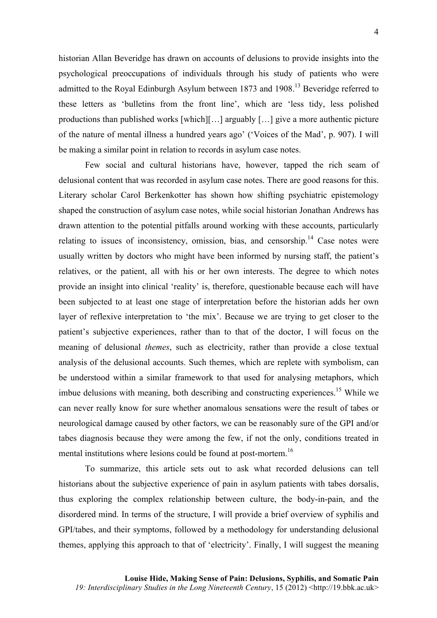historian Allan Beveridge has drawn on accounts of delusions to provide insights into the psychological preoccupations of individuals through his study of patients who were admitted to the Royal Edinburgh Asylum between 1873 and 1908.<sup>13</sup> Beveridge referred to these letters as 'bulletins from the front line', which are 'less tidy, less polished productions than published works [which][…] arguably […] give a more authentic picture of the nature of mental illness a hundred years ago' ('Voices of the Mad', p. 907). I will be making a similar point in relation to records in asylum case notes.

Few social and cultural historians have, however, tapped the rich seam of delusional content that was recorded in asylum case notes. There are good reasons for this. Literary scholar Carol Berkenkotter has shown how shifting psychiatric epistemology shaped the construction of asylum case notes, while social historian Jonathan Andrews has drawn attention to the potential pitfalls around working with these accounts, particularly relating to issues of inconsistency, omission, bias, and censorship.<sup>14</sup> Case notes were usually written by doctors who might have been informed by nursing staff, the patient's relatives, or the patient, all with his or her own interests. The degree to which notes provide an insight into clinical 'reality' is, therefore, questionable because each will have been subjected to at least one stage of interpretation before the historian adds her own layer of reflexive interpretation to 'the mix'. Because we are trying to get closer to the patient's subjective experiences, rather than to that of the doctor, I will focus on the meaning of delusional *themes*, such as electricity, rather than provide a close textual analysis of the delusional accounts. Such themes, which are replete with symbolism, can be understood within a similar framework to that used for analysing metaphors, which imbue delusions with meaning, both describing and constructing experiences.<sup>15</sup> While we can never really know for sure whether anomalous sensations were the result of tabes or neurological damage caused by other factors, we can be reasonably sure of the GPI and/or tabes diagnosis because they were among the few, if not the only, conditions treated in mental institutions where lesions could be found at post-mortem.<sup>16</sup>

To summarize, this article sets out to ask what recorded delusions can tell historians about the subjective experience of pain in asylum patients with tabes dorsalis, thus exploring the complex relationship between culture, the body-in-pain, and the disordered mind. In terms of the structure, I will provide a brief overview of syphilis and GPI/tabes, and their symptoms, followed by a methodology for understanding delusional themes, applying this approach to that of 'electricity'. Finally, I will suggest the meaning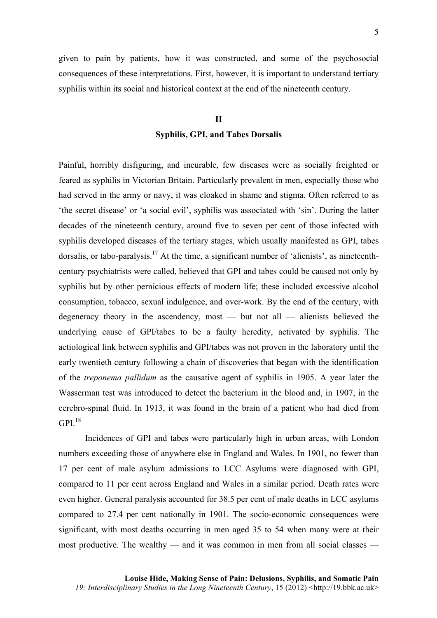given to pain by patients, how it was constructed, and some of the psychosocial consequences of these interpretations. First, however, it is important to understand tertiary syphilis within its social and historical context at the end of the nineteenth century.

#### **II**

## **Syphilis, GPI, and Tabes Dorsalis**

Painful, horribly disfiguring, and incurable, few diseases were as socially freighted or feared as syphilis in Victorian Britain. Particularly prevalent in men, especially those who had served in the army or navy, it was cloaked in shame and stigma. Often referred to as 'the secret disease' or 'a social evil', syphilis was associated with 'sin'. During the latter decades of the nineteenth century, around five to seven per cent of those infected with syphilis developed diseases of the tertiary stages, which usually manifested as GPI, tabes dorsalis, or tabo-paralysis.<sup>17</sup> At the time, a significant number of 'alienists', as nineteenthcentury psychiatrists were called, believed that GPI and tabes could be caused not only by syphilis but by other pernicious effects of modern life; these included excessive alcohol consumption, tobacco, sexual indulgence, and over-work. By the end of the century, with degeneracy theory in the ascendency, most — but not all — alienists believed the underlying cause of GPI/tabes to be a faulty heredity, activated by syphilis. The aetiological link between syphilis and GPI/tabes was not proven in the laboratory until the early twentieth century following a chain of discoveries that began with the identification of the *treponema pallidum* as the causative agent of syphilis in 1905. A year later the Wasserman test was introduced to detect the bacterium in the blood and, in 1907, in the cerebro-spinal fluid. In 1913, it was found in the brain of a patient who had died from  $GPI.<sup>18</sup>$ 

Incidences of GPI and tabes were particularly high in urban areas, with London numbers exceeding those of anywhere else in England and Wales. In 1901, no fewer than 17 per cent of male asylum admissions to LCC Asylums were diagnosed with GPI, compared to 11 per cent across England and Wales in a similar period. Death rates were even higher. General paralysis accounted for 38.5 per cent of male deaths in LCC asylums compared to 27.4 per cent nationally in 1901. The socio-economic consequences were significant, with most deaths occurring in men aged 35 to 54 when many were at their most productive. The wealthy — and it was common in men from all social classes —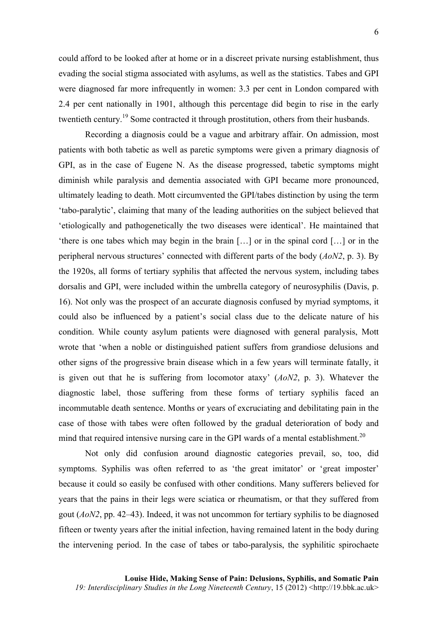could afford to be looked after at home or in a discreet private nursing establishment, thus evading the social stigma associated with asylums, as well as the statistics. Tabes and GPI were diagnosed far more infrequently in women: 3.3 per cent in London compared with 2.4 per cent nationally in 1901, although this percentage did begin to rise in the early twentieth century.<sup>19</sup> Some contracted it through prostitution, others from their husbands.

Recording a diagnosis could be a vague and arbitrary affair. On admission, most patients with both tabetic as well as paretic symptoms were given a primary diagnosis of GPI, as in the case of Eugene N. As the disease progressed, tabetic symptoms might diminish while paralysis and dementia associated with GPI became more pronounced, ultimately leading to death. Mott circumvented the GPI/tabes distinction by using the term 'tabo-paralytic', claiming that many of the leading authorities on the subject believed that 'etiologically and pathogenetically the two diseases were identical'. He maintained that 'there is one tabes which may begin in the brain […] or in the spinal cord […] or in the peripheral nervous structures' connected with different parts of the body (*AoN2*, p. 3). By the 1920s, all forms of tertiary syphilis that affected the nervous system, including tabes dorsalis and GPI, were included within the umbrella category of neurosyphilis (Davis, p. 16). Not only was the prospect of an accurate diagnosis confused by myriad symptoms, it could also be influenced by a patient's social class due to the delicate nature of his condition. While county asylum patients were diagnosed with general paralysis, Mott wrote that 'when a noble or distinguished patient suffers from grandiose delusions and other signs of the progressive brain disease which in a few years will terminate fatally, it is given out that he is suffering from locomotor ataxy' (*AoN2*, p. 3). Whatever the diagnostic label, those suffering from these forms of tertiary syphilis faced an incommutable death sentence. Months or years of excruciating and debilitating pain in the case of those with tabes were often followed by the gradual deterioration of body and mind that required intensive nursing care in the GPI wards of a mental establishment.<sup>20</sup>

Not only did confusion around diagnostic categories prevail, so, too, did symptoms. Syphilis was often referred to as 'the great imitator' or 'great imposter' because it could so easily be confused with other conditions. Many sufferers believed for years that the pains in their legs were sciatica or rheumatism, or that they suffered from gout (*AoN2*, pp. 42–43). Indeed, it was not uncommon for tertiary syphilis to be diagnosed fifteen or twenty years after the initial infection, having remained latent in the body during the intervening period. In the case of tabes or tabo-paralysis, the syphilitic spirochaete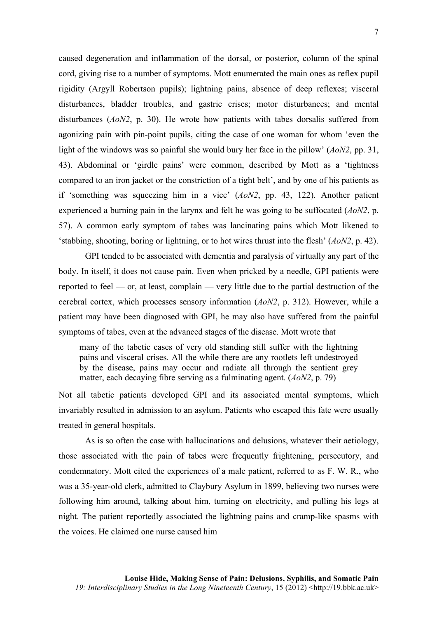caused degeneration and inflammation of the dorsal, or posterior, column of the spinal cord, giving rise to a number of symptoms. Mott enumerated the main ones as reflex pupil rigidity (Argyll Robertson pupils); lightning pains, absence of deep reflexes; visceral disturbances, bladder troubles, and gastric crises; motor disturbances; and mental disturbances (*AoN2*, p. 30). He wrote how patients with tabes dorsalis suffered from agonizing pain with pin-point pupils, citing the case of one woman for whom 'even the light of the windows was so painful she would bury her face in the pillow' (*AoN2*, pp. 31, 43). Abdominal or 'girdle pains' were common, described by Mott as a 'tightness compared to an iron jacket or the constriction of a tight belt', and by one of his patients as if 'something was squeezing him in a vice' (*AoN2*, pp. 43, 122). Another patient experienced a burning pain in the larynx and felt he was going to be suffocated (*AoN2*, p. 57). A common early symptom of tabes was lancinating pains which Mott likened to 'stabbing, shooting, boring or lightning, or to hot wires thrust into the flesh' (*AoN2*, p. 42).

GPI tended to be associated with dementia and paralysis of virtually any part of the body. In itself, it does not cause pain. Even when pricked by a needle, GPI patients were reported to feel — or, at least, complain — very little due to the partial destruction of the cerebral cortex, which processes sensory information (*AoN2*, p. 312). However, while a patient may have been diagnosed with GPI, he may also have suffered from the painful symptoms of tabes, even at the advanced stages of the disease. Mott wrote that

many of the tabetic cases of very old standing still suffer with the lightning pains and visceral crises. All the while there are any rootlets left undestroyed by the disease, pains may occur and radiate all through the sentient grey matter, each decaying fibre serving as a fulminating agent. (*AoN2*, p. 79)

Not all tabetic patients developed GPI and its associated mental symptoms, which invariably resulted in admission to an asylum. Patients who escaped this fate were usually treated in general hospitals.

As is so often the case with hallucinations and delusions, whatever their aetiology, those associated with the pain of tabes were frequently frightening, persecutory, and condemnatory. Mott cited the experiences of a male patient, referred to as F. W. R., who was a 35-year-old clerk, admitted to Claybury Asylum in 1899, believing two nurses were following him around, talking about him, turning on electricity, and pulling his legs at night. The patient reportedly associated the lightning pains and cramp-like spasms with the voices. He claimed one nurse caused him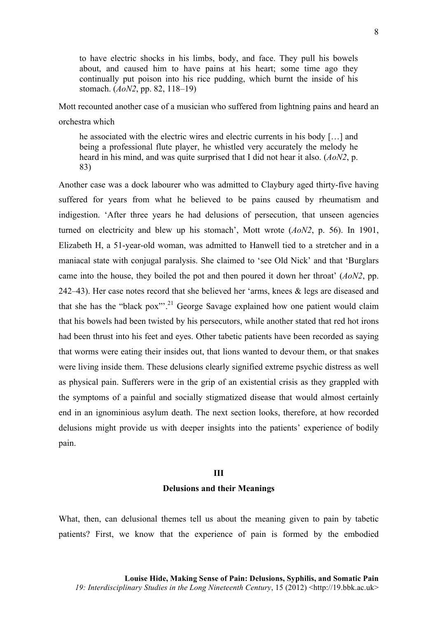to have electric shocks in his limbs, body, and face. They pull his bowels about, and caused him to have pains at his heart; some time ago they continually put poison into his rice pudding, which burnt the inside of his stomach. (*AoN2*, pp. 82, 118–19)

Mott recounted another case of a musician who suffered from lightning pains and heard an orchestra which

he associated with the electric wires and electric currents in his body […] and being a professional flute player, he whistled very accurately the melody he heard in his mind, and was quite surprised that I did not hear it also. (*AoN2*, p. 83)

Another case was a dock labourer who was admitted to Claybury aged thirty-five having suffered for years from what he believed to be pains caused by rheumatism and indigestion. 'After three years he had delusions of persecution, that unseen agencies turned on electricity and blew up his stomach', Mott wrote (*AoN2*, p. 56). In 1901, Elizabeth H, a 51-year-old woman, was admitted to Hanwell tied to a stretcher and in a maniacal state with conjugal paralysis. She claimed to 'see Old Nick' and that 'Burglars came into the house, they boiled the pot and then poured it down her throat' (*AoN2*, pp. 242–43). Her case notes record that she believed her 'arms, knees & legs are diseased and that she has the "black pox"<sup>21</sup> George Savage explained how one patient would claim that his bowels had been twisted by his persecutors, while another stated that red hot irons had been thrust into his feet and eyes. Other tabetic patients have been recorded as saying that worms were eating their insides out, that lions wanted to devour them, or that snakes were living inside them. These delusions clearly signified extreme psychic distress as well as physical pain. Sufferers were in the grip of an existential crisis as they grappled with the symptoms of a painful and socially stigmatized disease that would almost certainly end in an ignominious asylum death. The next section looks, therefore, at how recorded delusions might provide us with deeper insights into the patients' experience of bodily pain.

#### **III**

#### **Delusions and their Meanings**

What, then, can delusional themes tell us about the meaning given to pain by tabetic patients? First, we know that the experience of pain is formed by the embodied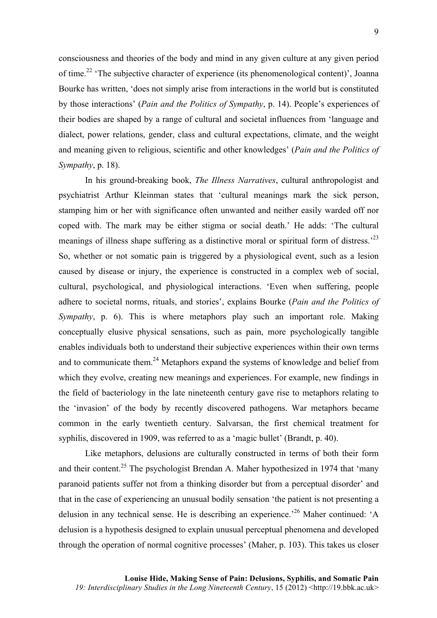consciousness and theories of the body and mind in any given culture at any given period of time.<sup>22</sup> 'The subjective character of experience (its phenomenological content)', Joanna Bourke has written, 'does not simply arise from interactions in the world but is constituted by those interactions' (*Pain and the Politics of Sympathy*, p. 14). People's experiences of their bodies are shaped by a range of cultural and societal influences from 'language and dialect, power relations, gender, class and cultural expectations, climate, and the weight and meaning given to religious, scientific and other knowledges' (*Pain and the Politics of Sympathy*, p. 18).

In his ground-breaking book, *The Illness Narratives*, cultural anthropologist and psychiatrist Arthur Kleinman states that 'cultural meanings mark the sick person, stamping him or her with significance often unwanted and neither easily warded off nor coped with. The mark may be either stigma or social death.' He adds: 'The cultural meanings of illness shape suffering as a distinctive moral or spiritual form of distress.<sup>23</sup> So, whether or not somatic pain is triggered by a physiological event, such as a lesion caused by disease or injury, the experience is constructed in a complex web of social, cultural, psychological, and physiological interactions. 'Even when suffering, people adhere to societal norms, rituals, and stories', explains Bourke (*Pain and the Politics of Sympathy*, p. 6). This is where metaphors play such an important role. Making conceptually elusive physical sensations, such as pain, more psychologically tangible enables individuals both to understand their subjective experiences within their own terms and to communicate them.<sup>24</sup> Metaphors expand the systems of knowledge and belief from which they evolve, creating new meanings and experiences. For example, new findings in the field of bacteriology in the late nineteenth century gave rise to metaphors relating to the 'invasion' of the body by recently discovered pathogens. War metaphors became common in the early twentieth century. Salvarsan, the first chemical treatment for syphilis, discovered in 1909, was referred to as a 'magic bullet' (Brandt, p. 40).

Like metaphors, delusions are culturally constructed in terms of both their form and their content.<sup>25</sup> The psychologist Brendan A. Maher hypothesized in 1974 that 'many paranoid patients suffer not from a thinking disorder but from a perceptual disorder' and that in the case of experiencing an unusual bodily sensation 'the patient is not presenting a delusion in any technical sense. He is describing an experience.<sup>26</sup> Maher continued: 'A delusion is a hypothesis designed to explain unusual perceptual phenomena and developed through the operation of normal cognitive processes' (Maher, p. 103). This takes us closer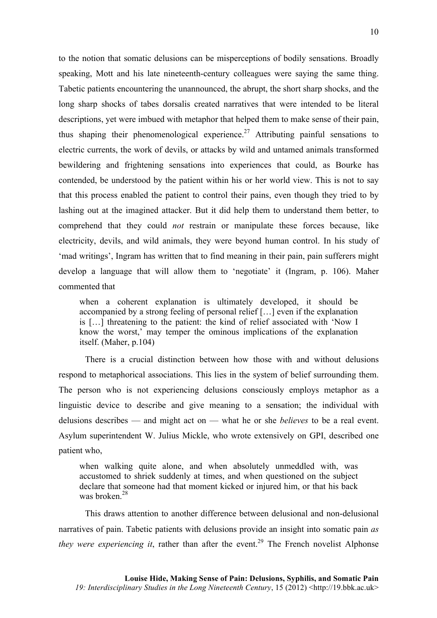to the notion that somatic delusions can be misperceptions of bodily sensations. Broadly speaking, Mott and his late nineteenth-century colleagues were saying the same thing. Tabetic patients encountering the unannounced, the abrupt, the short sharp shocks, and the long sharp shocks of tabes dorsalis created narratives that were intended to be literal descriptions, yet were imbued with metaphor that helped them to make sense of their pain, thus shaping their phenomenological experience.<sup>27</sup> Attributing painful sensations to electric currents, the work of devils, or attacks by wild and untamed animals transformed bewildering and frightening sensations into experiences that could, as Bourke has contended, be understood by the patient within his or her world view. This is not to say that this process enabled the patient to control their pains, even though they tried to by lashing out at the imagined attacker. But it did help them to understand them better, to comprehend that they could *not* restrain or manipulate these forces because, like electricity, devils, and wild animals, they were beyond human control. In his study of 'mad writings', Ingram has written that to find meaning in their pain, pain sufferers might develop a language that will allow them to 'negotiate' it (Ingram, p. 106). Maher commented that

when a coherent explanation is ultimately developed, it should be accompanied by a strong feeling of personal relief […] even if the explanation is […] threatening to the patient: the kind of relief associated with 'Now I know the worst,' may temper the ominous implications of the explanation itself. (Maher, p.104)

There is a crucial distinction between how those with and without delusions respond to metaphorical associations. This lies in the system of belief surrounding them. The person who is not experiencing delusions consciously employs metaphor as a linguistic device to describe and give meaning to a sensation; the individual with delusions describes — and might act on — what he or she *believes* to be a real event. Asylum superintendent W. Julius Mickle, who wrote extensively on GPI, described one patient who,

when walking quite alone, and when absolutely unmeddled with, was accustomed to shriek suddenly at times, and when questioned on the subject declare that someone had that moment kicked or injured him, or that his back was broken $28$ 

This draws attention to another difference between delusional and non-delusional narratives of pain. Tabetic patients with delusions provide an insight into somatic pain *as they were experiencing it*, rather than after the event.<sup>29</sup> The French novelist Alphonse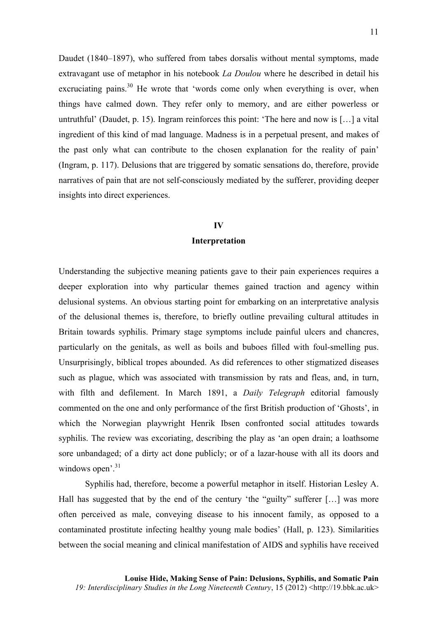Daudet (1840–1897), who suffered from tabes dorsalis without mental symptoms, made extravagant use of metaphor in his notebook *La Doulou* where he described in detail his excruciating pains.<sup>30</sup> He wrote that 'words come only when everything is over, when things have calmed down. They refer only to memory, and are either powerless or untruthful' (Daudet, p. 15). Ingram reinforces this point: 'The here and now is […] a vital ingredient of this kind of mad language. Madness is in a perpetual present, and makes of the past only what can contribute to the chosen explanation for the reality of pain' (Ingram, p. 117). Delusions that are triggered by somatic sensations do, therefore, provide narratives of pain that are not self-consciously mediated by the sufferer, providing deeper insights into direct experiences.

#### **IV**

### **Interpretation**

Understanding the subjective meaning patients gave to their pain experiences requires a deeper exploration into why particular themes gained traction and agency within delusional systems. An obvious starting point for embarking on an interpretative analysis of the delusional themes is, therefore, to briefly outline prevailing cultural attitudes in Britain towards syphilis. Primary stage symptoms include painful ulcers and chancres, particularly on the genitals, as well as boils and buboes filled with foul-smelling pus. Unsurprisingly, biblical tropes abounded. As did references to other stigmatized diseases such as plague, which was associated with transmission by rats and fleas, and, in turn, with filth and defilement. In March 1891, a *Daily Telegraph* editorial famously commented on the one and only performance of the first British production of 'Ghosts', in which the Norwegian playwright Henrik Ibsen confronted social attitudes towards syphilis. The review was excoriating, describing the play as 'an open drain; a loathsome sore unbandaged; of a dirty act done publicly; or of a lazar-house with all its doors and windows open<sup>'.31</sup>

Syphilis had, therefore, become a powerful metaphor in itself. Historian Lesley A. Hall has suggested that by the end of the century 'the "guilty" sufferer [...] was more often perceived as male, conveying disease to his innocent family, as opposed to a contaminated prostitute infecting healthy young male bodies' (Hall, p. 123). Similarities between the social meaning and clinical manifestation of AIDS and syphilis have received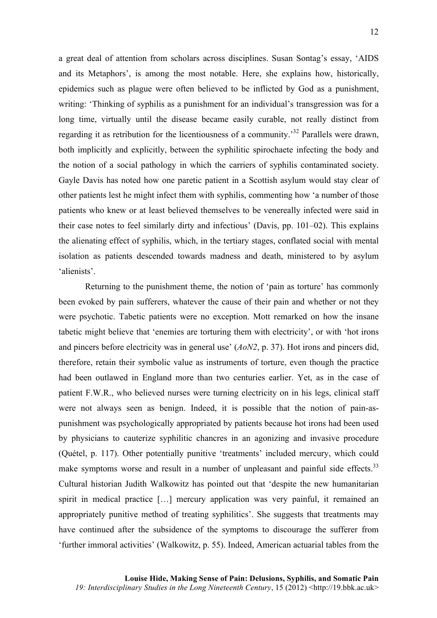a great deal of attention from scholars across disciplines. Susan Sontag's essay, 'AIDS and its Metaphors', is among the most notable. Here, she explains how, historically, epidemics such as plague were often believed to be inflicted by God as a punishment, writing: 'Thinking of syphilis as a punishment for an individual's transgression was for a long time, virtually until the disease became easily curable, not really distinct from regarding it as retribution for the licentiousness of a community.<sup>32</sup> Parallels were drawn, both implicitly and explicitly, between the syphilitic spirochaete infecting the body and the notion of a social pathology in which the carriers of syphilis contaminated society. Gayle Davis has noted how one paretic patient in a Scottish asylum would stay clear of other patients lest he might infect them with syphilis, commenting how 'a number of those patients who knew or at least believed themselves to be venereally infected were said in their case notes to feel similarly dirty and infectious' (Davis, pp. 101–02). This explains the alienating effect of syphilis, which, in the tertiary stages, conflated social with mental isolation as patients descended towards madness and death, ministered to by asylum 'alienists'.

Returning to the punishment theme, the notion of 'pain as torture' has commonly been evoked by pain sufferers, whatever the cause of their pain and whether or not they were psychotic. Tabetic patients were no exception. Mott remarked on how the insane tabetic might believe that 'enemies are torturing them with electricity', or with 'hot irons and pincers before electricity was in general use' (*AoN2*, p. 37). Hot irons and pincers did, therefore, retain their symbolic value as instruments of torture, even though the practice had been outlawed in England more than two centuries earlier. Yet, as in the case of patient F.W.R., who believed nurses were turning electricity on in his legs, clinical staff were not always seen as benign. Indeed, it is possible that the notion of pain-aspunishment was psychologically appropriated by patients because hot irons had been used by physicians to cauterize syphilitic chancres in an agonizing and invasive procedure (Quétel, p. 117). Other potentially punitive 'treatments' included mercury, which could make symptoms worse and result in a number of unpleasant and painful side effects.<sup>33</sup> Cultural historian Judith Walkowitz has pointed out that 'despite the new humanitarian spirit in medical practice […] mercury application was very painful, it remained an appropriately punitive method of treating syphilitics'. She suggests that treatments may have continued after the subsidence of the symptoms to discourage the sufferer from 'further immoral activities' (Walkowitz, p. 55). Indeed, American actuarial tables from the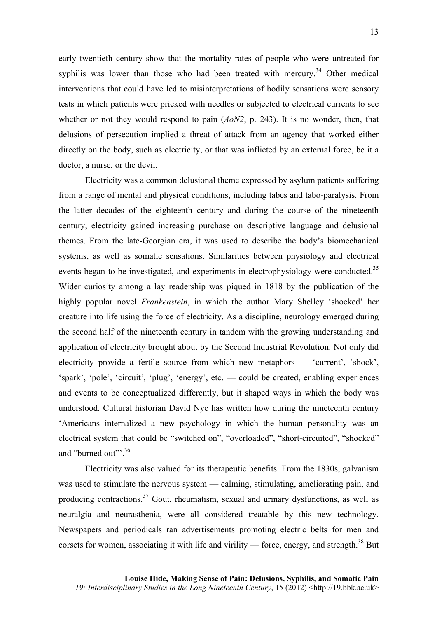early twentieth century show that the mortality rates of people who were untreated for syphilis was lower than those who had been treated with mercury.<sup>34</sup> Other medical interventions that could have led to misinterpretations of bodily sensations were sensory tests in which patients were pricked with needles or subjected to electrical currents to see whether or not they would respond to pain (*AoN2*, p. 243). It is no wonder, then, that delusions of persecution implied a threat of attack from an agency that worked either directly on the body, such as electricity, or that was inflicted by an external force, be it a doctor, a nurse, or the devil.

Electricity was a common delusional theme expressed by asylum patients suffering from a range of mental and physical conditions, including tabes and tabo-paralysis. From the latter decades of the eighteenth century and during the course of the nineteenth century, electricity gained increasing purchase on descriptive language and delusional themes. From the late-Georgian era, it was used to describe the body's biomechanical systems, as well as somatic sensations. Similarities between physiology and electrical events began to be investigated, and experiments in electrophysiology were conducted.<sup>35</sup> Wider curiosity among a lay readership was piqued in 1818 by the publication of the highly popular novel *Frankenstein*, in which the author Mary Shelley 'shocked' her creature into life using the force of electricity. As a discipline, neurology emerged during the second half of the nineteenth century in tandem with the growing understanding and application of electricity brought about by the Second Industrial Revolution. Not only did electricity provide a fertile source from which new metaphors — 'current', 'shock', 'spark', 'pole', 'circuit', 'plug', 'energy', etc. — could be created, enabling experiences and events to be conceptualized differently, but it shaped ways in which the body was understood. Cultural historian David Nye has written how during the nineteenth century 'Americans internalized a new psychology in which the human personality was an electrical system that could be "switched on", "overloaded", "short-circuited", "shocked" and "burned out"<sup>36</sup>

Electricity was also valued for its therapeutic benefits. From the 1830s, galvanism was used to stimulate the nervous system — calming, stimulating, ameliorating pain, and producing contractions.<sup>37</sup> Gout, rheumatism, sexual and urinary dysfunctions, as well as neuralgia and neurasthenia, were all considered treatable by this new technology. Newspapers and periodicals ran advertisements promoting electric belts for men and corsets for women, associating it with life and virility — force, energy, and strength. $^{38}$  But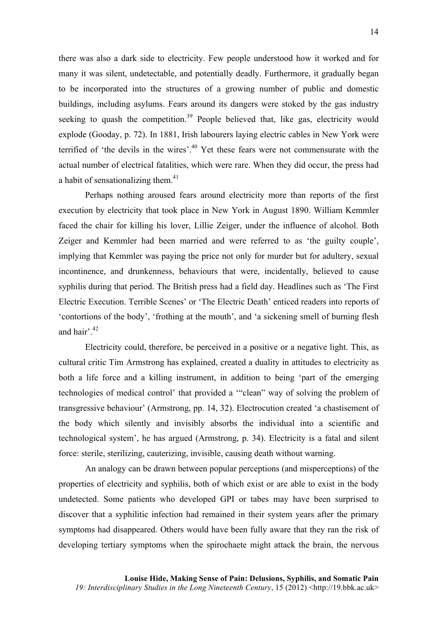there was also a dark side to electricity. Few people understood how it worked and for many it was silent, undetectable, and potentially deadly. Furthermore, it gradually began to be incorporated into the structures of a growing number of public and domestic buildings, including asylums. Fears around its dangers were stoked by the gas industry seeking to quash the competition.<sup>39</sup> People believed that, like gas, electricity would explode (Gooday, p. 72). In 1881, Irish labourers laying electric cables in New York were terrified of 'the devils in the wires'.<sup>40</sup> Yet these fears were not commensurate with the actual number of electrical fatalities, which were rare. When they did occur, the press had a habit of sensationalizing them.<sup>41</sup>

Perhaps nothing aroused fears around electricity more than reports of the first execution by electricity that took place in New York in August 1890. William Kemmler faced the chair for killing his lover, Lillie Zeiger, under the influence of alcohol. Both Zeiger and Kemmler had been married and were referred to as 'the guilty couple', implying that Kemmler was paying the price not only for murder but for adultery, sexual incontinence, and drunkenness, behaviours that were, incidentally, believed to cause syphilis during that period. The British press had a field day. Headlines such as 'The First Electric Execution. Terrible Scenes' or 'The Electric Death' enticed readers into reports of 'contortions of the body', 'frothing at the mouth', and 'a sickening smell of burning flesh and hair'. $42$ 

Electricity could, therefore, be perceived in a positive or a negative light. This, as cultural critic Tim Armstrong has explained, created a duality in attitudes to electricity as both a life force and a killing instrument, in addition to being 'part of the emerging technologies of medical control' that provided a '"clean" way of solving the problem of transgressive behaviour' (Armstrong, pp. 14, 32). Electrocution created 'a chastisement of the body which silently and invisibly absorbs the individual into a scientific and technological system', he has argued (Armstrong, p. 34). Electricity is a fatal and silent force: sterile, sterilizing, cauterizing, invisible, causing death without warning.

An analogy can be drawn between popular perceptions (and misperceptions) of the properties of electricity and syphilis, both of which exist or are able to exist in the body undetected. Some patients who developed GPI or tabes may have been surprised to discover that a syphilitic infection had remained in their system years after the primary symptoms had disappeared. Others would have been fully aware that they ran the risk of developing tertiary symptoms when the spirochaete might attack the brain, the nervous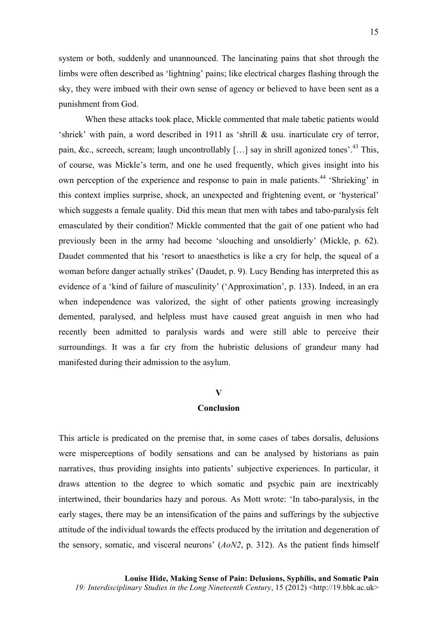system or both, suddenly and unannounced. The lancinating pains that shot through the limbs were often described as 'lightning' pains; like electrical charges flashing through the sky, they were imbued with their own sense of agency or believed to have been sent as a punishment from God.

When these attacks took place, Mickle commented that male tabetic patients would 'shriek' with pain, a word described in 1911 as 'shrill & usu. inarticulate cry of terror, pain, &c., screech, scream; laugh uncontrollably  $[\dots]$  say in shrill agonized tones<sup>'.43</sup> This, of course, was Mickle's term, and one he used frequently, which gives insight into his own perception of the experience and response to pain in male patients.<sup>44</sup> 'Shrieking' in this context implies surprise, shock, an unexpected and frightening event, or 'hysterical' which suggests a female quality. Did this mean that men with tabes and tabo-paralysis felt emasculated by their condition? Mickle commented that the gait of one patient who had previously been in the army had become 'slouching and unsoldierly' (Mickle, p. 62). Daudet commented that his 'resort to anaesthetics is like a cry for help, the squeal of a woman before danger actually strikes' (Daudet, p. 9). Lucy Bending has interpreted this as evidence of a 'kind of failure of masculinity' ('Approximation', p. 133). Indeed, in an era when independence was valorized, the sight of other patients growing increasingly demented, paralysed, and helpless must have caused great anguish in men who had recently been admitted to paralysis wards and were still able to perceive their surroundings. It was a far cry from the hubristic delusions of grandeur many had manifested during their admission to the asylum.

#### **V**

#### **Conclusion**

This article is predicated on the premise that, in some cases of tabes dorsalis, delusions were misperceptions of bodily sensations and can be analysed by historians as pain narratives, thus providing insights into patients' subjective experiences. In particular, it draws attention to the degree to which somatic and psychic pain are inextricably intertwined, their boundaries hazy and porous. As Mott wrote: 'In tabo-paralysis, in the early stages, there may be an intensification of the pains and sufferings by the subjective attitude of the individual towards the effects produced by the irritation and degeneration of the sensory, somatic, and visceral neurons' (*AoN2*, p. 312). As the patient finds himself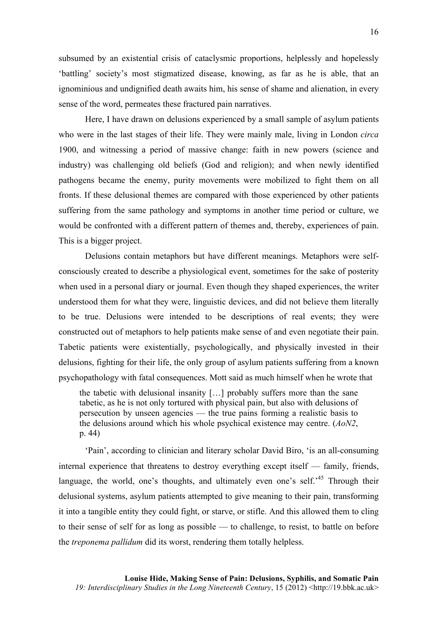subsumed by an existential crisis of cataclysmic proportions, helplessly and hopelessly 'battling' society's most stigmatized disease, knowing, as far as he is able, that an ignominious and undignified death awaits him, his sense of shame and alienation, in every sense of the word, permeates these fractured pain narratives.

Here, I have drawn on delusions experienced by a small sample of asylum patients who were in the last stages of their life. They were mainly male, living in London *circa* 1900, and witnessing a period of massive change: faith in new powers (science and industry) was challenging old beliefs (God and religion); and when newly identified pathogens became the enemy, purity movements were mobilized to fight them on all fronts. If these delusional themes are compared with those experienced by other patients suffering from the same pathology and symptoms in another time period or culture, we would be confronted with a different pattern of themes and, thereby, experiences of pain. This is a bigger project.

Delusions contain metaphors but have different meanings. Metaphors were selfconsciously created to describe a physiological event, sometimes for the sake of posterity when used in a personal diary or journal. Even though they shaped experiences, the writer understood them for what they were, linguistic devices, and did not believe them literally to be true. Delusions were intended to be descriptions of real events; they were constructed out of metaphors to help patients make sense of and even negotiate their pain. Tabetic patients were existentially, psychologically, and physically invested in their delusions, fighting for their life, the only group of asylum patients suffering from a known psychopathology with fatal consequences. Mott said as much himself when he wrote that

the tabetic with delusional insanity […] probably suffers more than the sane tabetic, as he is not only tortured with physical pain, but also with delusions of persecution by unseen agencies — the true pains forming a realistic basis to the delusions around which his whole psychical existence may centre. (*AoN2*, p. 44)

'Pain', according to clinician and literary scholar David Biro, 'is an all-consuming internal experience that threatens to destroy everything except itself — family, friends, language, the world, one's thoughts, and ultimately even one's self.<sup>45</sup> Through their delusional systems, asylum patients attempted to give meaning to their pain, transforming it into a tangible entity they could fight, or starve, or stifle. And this allowed them to cling to their sense of self for as long as possible — to challenge, to resist, to battle on before the *treponema pallidum* did its worst, rendering them totally helpless.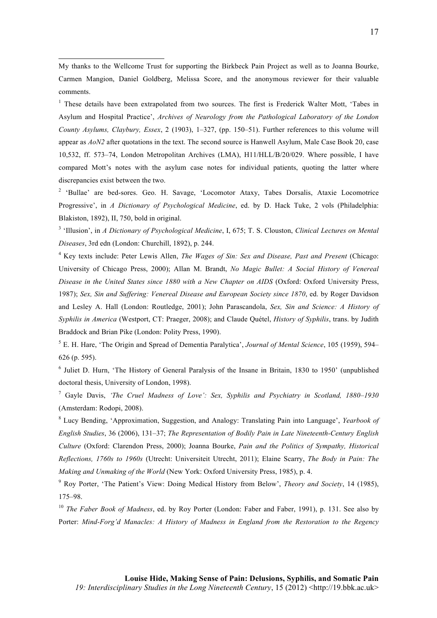<sup>1</sup> These details have been extrapolated from two sources. The first is Frederick Walter Mott, 'Tabes in Asylum and Hospital Practice', *Archives of Neurology from the Pathological Laboratory of the London County Asylums, Claybury, Essex*, 2 (1903), 1–327, (pp. 150–51). Further references to this volume will appear as *AoN2* after quotations in the text. The second source is Hanwell Asylum, Male Case Book 20, case 10,532, ff. 573–74, London Metropolitan Archives (LMA), H11/HLL/B/20/029. Where possible, I have compared Mott's notes with the asylum case notes for individual patients, quoting the latter where discrepancies exist between the two.

<sup>2</sup> 'Bullae' are bed-sores. Geo. H. Savage, 'Locomotor Ataxy, Tabes Dorsalis, Ataxie Locomotrice Progressive', in *A Dictionary of Psychological Medicine*, ed. by D. Hack Tuke, 2 vols (Philadelphia: Blakiston, 1892), II, 750, bold in original.

<sup>3</sup> 'Illusion', in *A Dictionary of Psychological Medicine*, I, 675; T. S. Clouston, *Clinical Lectures on Mental Diseases*, 3rd edn (London: Churchill, 1892), p. 244.

<sup>4</sup> Key texts include: Peter Lewis Allen, *The Wages of Sin: Sex and Disease, Past and Present* (Chicago: University of Chicago Press, 2000); Allan M. Brandt, *No Magic Bullet: A Social History of Venereal Disease in the United States since 1880 with a New Chapter on AIDS* (Oxford: Oxford University Press, 1987); *Sex, Sin and Suffering: Venereal Disease and European Society since 1870*, ed. by Roger Davidson and Lesley A. Hall (London: Routledge, 2001); John Parascandola, *Sex, Sin and Science: A History of Syphilis in America* (Westport, CT: Praeger, 2008); and Claude Quétel, *History of Syphilis*, trans. by Judith Braddock and Brian Pike (London: Polity Press, 1990).

<sup>5</sup> E. H. Hare, 'The Origin and Spread of Dementia Paralytica', *Journal of Mental Science*, 105 (1959), 594– 626 (p. 595).

<sup>6</sup> Juliet D. Hurn, 'The History of General Paralysis of the Insane in Britain, 1830 to 1950' (unpublished doctoral thesis, University of London, 1998).

<sup>7</sup> Gayle Davis, *'The Cruel Madness of Love': Sex, Syphilis and Psychiatry in Scotland, 1880–1930* (Amsterdam: Rodopi, 2008).

<sup>8</sup> Lucy Bending, 'Approximation, Suggestion, and Analogy: Translating Pain into Language', *Yearbook of English Studies*, 36 (2006), 131–37; *The Representation of Bodily Pain in Late Nineteenth-Century English Culture* (Oxford: Clarendon Press, 2000); Joanna Bourke, *Pain and the Politics of Sympathy, Historical Reflections, 1760s to 1960s* (Utrecht: Universiteit Utrecht, 2011); Elaine Scarry, *The Body in Pain: The Making and Unmaking of the World* (New York: Oxford University Press, 1985), p. 4.

<sup>9</sup> Roy Porter, 'The Patient's View: Doing Medical History from Below', *Theory and Society*, 14 (1985), 175–98.

<sup>10</sup> *The Faber Book of Madness*, ed. by Roy Porter (London: Faber and Faber, 1991), p. 131. See also by Porter: *Mind-Forg'd Manacles: A History of Madness in England from the Restoration to the Regency*

My thanks to the Wellcome Trust for supporting the Birkbeck Pain Project as well as to Joanna Bourke, Carmen Mangion, Daniel Goldberg, Melissa Score, and the anonymous reviewer for their valuable comments.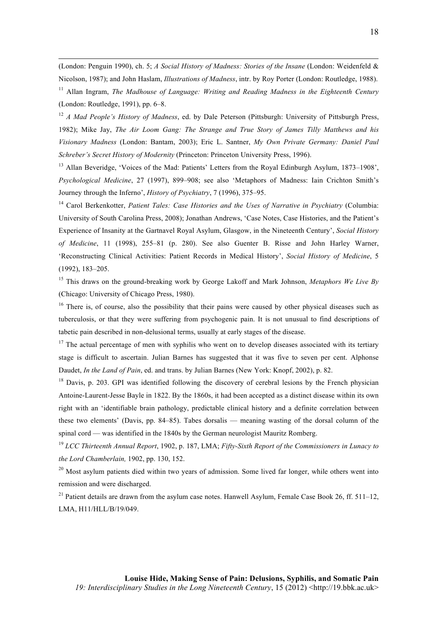(London: Penguin 1990), ch. 5; *A Social History of Madness: Stories of the Insane* (London: Weidenfeld & Nicolson, 1987); and John Haslam, *Illustrations of Madness*, intr. by Roy Porter (London: Routledge, 1988). <sup>11</sup> Allan Ingram, *The Madhouse of Language: Writing and Reading Madness in the Eighteenth Century* 

<u> 1989 - Johann Stoff, fransk politik (d. 1989)</u>

(London: Routledge, 1991), pp. 6–8.

<sup>12</sup> *A Mad People's History of Madness*, ed. by Dale Peterson (Pittsburgh: University of Pittsburgh Press, 1982); Mike Jay, *The Air Loom Gang: The Strange and True Story of James Tilly Matthews and his Visionary Madness* (London: Bantam, 2003); Eric L. Santner, *My Own Private Germany: Daniel Paul Schreber's Secret History of Modernity* (Princeton: Princeton University Press, 1996).

<sup>13</sup> Allan Beveridge, 'Voices of the Mad: Patients' Letters from the Royal Edinburgh Asylum, 1873–1908', *Psychological Medicine*, 27 (1997), 899–908; see also 'Metaphors of Madness: Iain Crichton Smith's Journey through the Inferno', *History of Psychiatry*, 7 (1996), 375–95.

<sup>14</sup> Carol Berkenkotter, *Patient Tales: Case Histories and the Uses of Narrative in Psychiatry* (Columbia: University of South Carolina Press, 2008); Jonathan Andrews, 'Case Notes, Case Histories, and the Patient's Experience of Insanity at the Gartnavel Royal Asylum, Glasgow, in the Nineteenth Century', *Social History of Medicine*, 11 (1998), 255–81 (p. 280). See also Guenter B. Risse and John Harley Warner, 'Reconstructing Clinical Activities: Patient Records in Medical History', *Social History of Medicine*, 5 (1992), 183–205.

<sup>15</sup> This draws on the ground-breaking work by George Lakoff and Mark Johnson, *Metaphors We Live By* (Chicago: University of Chicago Press, 1980).

<sup>16</sup> There is, of course, also the possibility that their pains were caused by other physical diseases such as tuberculosis, or that they were suffering from psychogenic pain. It is not unusual to find descriptions of tabetic pain described in non-delusional terms, usually at early stages of the disease.

 $17$  The actual percentage of men with syphilis who went on to develop diseases associated with its tertiary stage is difficult to ascertain. Julian Barnes has suggested that it was five to seven per cent. Alphonse Daudet, *In the Land of Pain*, ed. and trans. by Julian Barnes (New York: Knopf, 2002), p. 82.

<sup>18</sup> Davis, p. 203. GPI was identified following the discovery of cerebral lesions by the French physician Antoine-Laurent-Jesse Bayle in 1822. By the 1860s, it had been accepted as a distinct disease within its own right with an 'identifiable brain pathology, predictable clinical history and a definite correlation between these two elements' (Davis, pp. 84–85). Tabes dorsalis — meaning wasting of the dorsal column of the spinal cord — was identified in the 1840s by the German neurologist Mauritz Romberg.

<sup>19</sup> *LCC Thirteenth Annual Report*, 1902, p. 187, LMA; *Fifty-Sixth Report of the Commissioners in Lunacy to the Lord Chamberlain,* 1902, pp. 130, 152.

 $20$  Most asylum patients died within two years of admission. Some lived far longer, while others went into remission and were discharged.

<sup>21</sup> Patient details are drawn from the asylum case notes. Hanwell Asylum, Female Case Book 26, ff. 511–12, LMA, H11/HLL/B/19/049.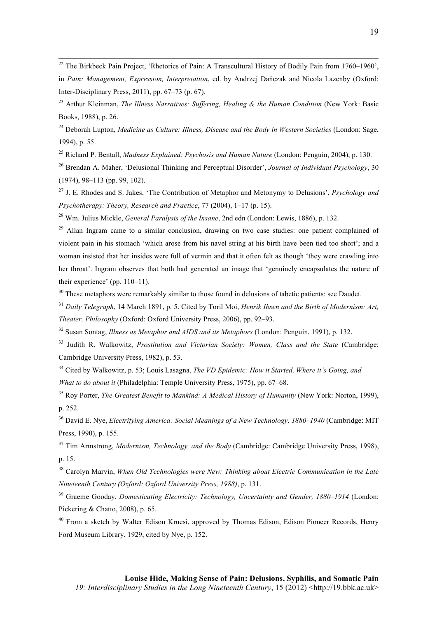<sup>22</sup> The Birkbeck Pain Project, 'Rhetorics of Pain: A Transcultural History of Bodily Pain from 1760–1960', in *Pain: Management, Expression, Interpretation*, ed. by Andrzej Dańczak and Nicola Lazenby (Oxford: Inter-Disciplinary Press, 2011), pp. 67–73 (p. 67).

<sup>23</sup> Arthur Kleinman, *The Illness Narratives: Suffering, Healing & the Human Condition* (New York: Basic Books, 1988), p. 26.

<sup>24</sup> Deborah Lupton, *Medicine as Culture: Illness, Disease and the Body in Western Societies* (London: Sage, 1994), p. 55.

<sup>25</sup> Richard P. Bentall, *Madness Explained: Psychosis and Human Nature* (London: Penguin, 2004), p. 130.

<sup>26</sup> Brendan A. Maher, 'Delusional Thinking and Perceptual Disorder', *Journal of Individual Psychology*, 30 (1974), 98–113 (pp. 99, 102).

<sup>27</sup> J. E. Rhodes and S. Jakes, 'The Contribution of Metaphor and Metonymy to Delusions', *Psychology and Psychotherapy: Theory, Research and Practice*, 77 (2004), 1–17 (p. 15).

<sup>28</sup> Wm. Julius Mickle, *General Paralysis of the Insane*, 2nd edn (London: Lewis, 1886), p. 132.

 $29$  Allan Ingram came to a similar conclusion, drawing on two case studies: one patient complained of violent pain in his stomach 'which arose from his navel string at his birth have been tied too short'; and a woman insisted that her insides were full of vermin and that it often felt as though 'they were crawling into her throat'. Ingram observes that both had generated an image that 'genuinely encapsulates the nature of their experience' (pp. 110–11).

<sup>30</sup> These metaphors were remarkably similar to those found in delusions of tabetic patients: see Daudet.

<sup>31</sup> *Daily Telegraph*, 14 March 1891, p. 5. Cited by Toril Moi, *Henrik Ibsen and the Birth of Modernism: Art, Theater, Philosophy* (Oxford: Oxford University Press, 2006), pp. 92–93.

<sup>32</sup> Susan Sontag, *Illness as Metaphor and AIDS and its Metaphors* (London: Penguin, 1991), p. 132.

<sup>33</sup> Judith R. Walkowitz, *Prostitution and Victorian Society: Women, Class and the State* (Cambridge: Cambridge University Press, 1982), p. 53.

<sup>34</sup> Cited by Walkowitz, p. 53; Louis Lasagna, *The VD Epidemic: How it Started, Where it's Going, and What to do about it* (Philadelphia: Temple University Press, 1975), pp. 67–68.

<sup>35</sup> Roy Porter, *The Greatest Benefit to Mankind: A Medical History of Humanity* (New York: Norton, 1999), p. 252.

<sup>36</sup> David E. Nye, *Electrifying America: Social Meanings of a New Technology, 1880–1940* (Cambridge: MIT Press, 1990), p. 155.

<sup>37</sup> Tim Armstrong, *Modernism, Technology, and the Body* (Cambridge: Cambridge University Press, 1998), p. 15.

<sup>38</sup> Carolyn Marvin, *When Old Technologies were New: Thinking about Electric Communication in the Late Nineteenth Century (Oxford: Oxford University Press, 1988)*, p. 131.

<sup>39</sup> Graeme Gooday, *Domesticating Electricity: Technology, Uncertainty and Gender, 1880–1914* (London: Pickering & Chatto, 2008), p. 65.

<sup>40</sup> From a sketch by Walter Edison Kruesi, approved by Thomas Edison, Edison Pioneer Records, Henry Ford Museum Library, 1929, cited by Nye, p. 152.